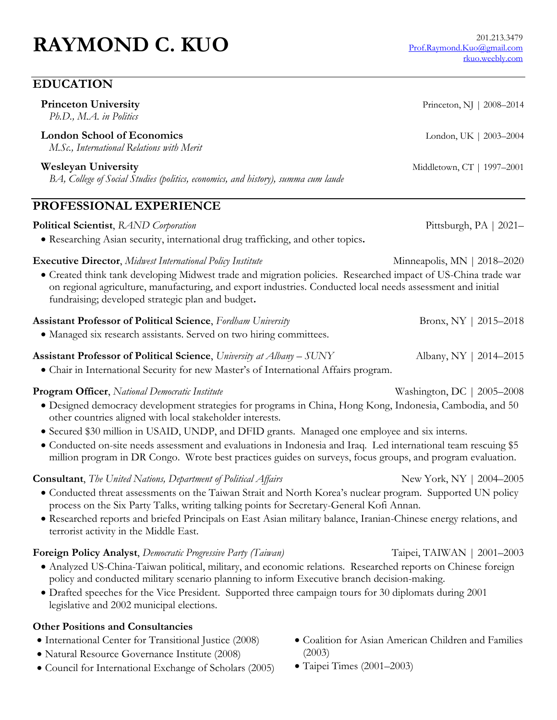# **RAYMOND C. KUO** 201.213.3479

## **EDUCATION**

| <b>Princeton University</b><br>Ph.D., M.A. in Politics                                                                                                                                                                                                                                                                                                  | Princeton, NJ   2008-2014   |
|---------------------------------------------------------------------------------------------------------------------------------------------------------------------------------------------------------------------------------------------------------------------------------------------------------------------------------------------------------|-----------------------------|
| <b>London School of Economics</b><br>M.Sc., International Relations with Merit                                                                                                                                                                                                                                                                          | London, UK   2003-2004      |
| <b>Wesleyan University</b><br>BA, College of Social Studies (politics, economics, and history), summa cum laude                                                                                                                                                                                                                                         | Middletown, CT   1997-2001  |
| <b>PROFESSIONAL EXPERIENCE</b>                                                                                                                                                                                                                                                                                                                          |                             |
| <b>Political Scientist</b> , RAND Corporation<br>• Researching Asian security, international drug trafficking, and other topics.                                                                                                                                                                                                                        | Pittsburgh, PA   2021-      |
| <b>Executive Director</b> , Midwest International Policy Institute<br>• Created think tank developing Midwest trade and migration policies. Researched impact of US-China trade war<br>on regional agriculture, manufacturing, and export industries. Conducted local needs assessment and initial<br>fundraising; developed strategic plan and budget. | Minneapolis, MN   2018-2020 |
| <b>Assistant Professor of Political Science</b> , Fordham University<br>• Managed six research assistants. Served on two hiring committees.                                                                                                                                                                                                             | Bronx, NY   $2015 - 2018$   |
| <b>Assistant Professor of Political Science, University at Albany – SUNY</b><br>• Chair in International Security for new Master's of International Affairs program.                                                                                                                                                                                    | Albany, NY   2014–2015      |

- **Program Officer**, *National Democratic Institute* Washington, DC | 2005–2008 Designed democracy development strategies for programs in China, Hong Kong, Indonesia, Cambodia, and 50 other countries aligned with local stakeholder interests.
	- Secured \$30 million in USAID, UNDP, and DFID grants. Managed one employee and six interns.
	- Conducted on-site needs assessment and evaluations in Indonesia and Iraq. Led international team rescuing \$5 million program in DR Congo. Wrote best practices guides on surveys, focus groups, and program evaluation.

#### **Consultant**, *The United Nations, Department of Political Affairs* New York, NY | 2004–2005

- Conducted threat assessments on the Taiwan Strait and North Korea's nuclear program. Supported UN policy process on the Six Party Talks, writing talking points for Secretary-General Kofi Annan.
- Researched reports and briefed Principals on East Asian military balance, Iranian-Chinese energy relations, and terrorist activity in the Middle East.

**Foreign Policy Analyst**, *Democratic Progressive Party (Taiwan)* Taipei, TAIWAN | 2001–2003

- Analyzed US-China-Taiwan political, military, and economic relations. Researched reports on Chinese foreign policy and conducted military scenario planning to inform Executive branch decision-making.
- Drafted speeches for the Vice President. Supported three campaign tours for 30 diplomats during 2001 legislative and 2002 municipal elections.

#### **Other Positions and Consultancies**

- International Center for Transitional Justice (2008)
- Natural Resource Governance Institute (2008)
- Council for International Exchange of Scholars (2005)
- Coalition for Asian American Children and Families (2003)
- Taipei Times (2001–2003)